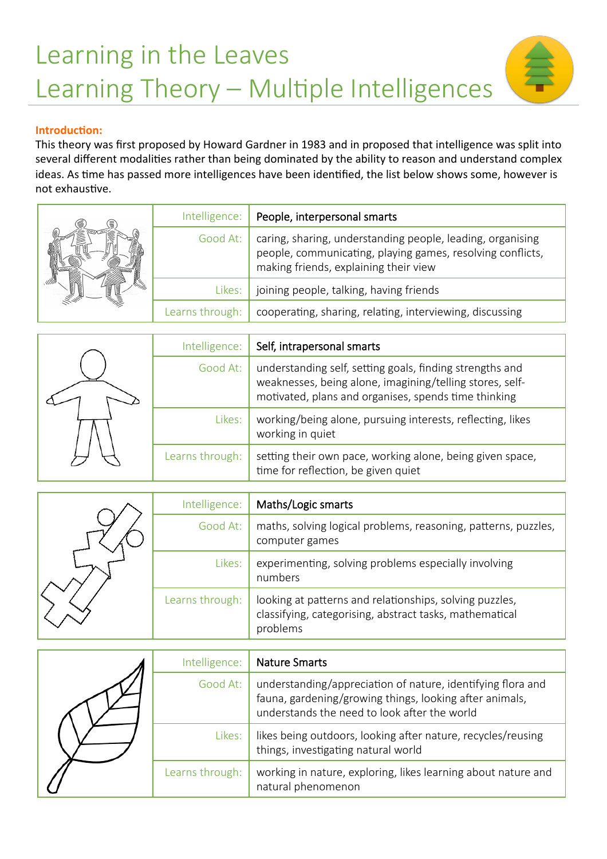## **Introduction:**

This theory was first proposed by Howard Gardner in 1983 and in proposed that intelligence was split into several different modalities rather than being dominated by the ability to reason and understand complex ideas. As time has passed more intelligences have been identified, the list below shows some, however is not exhaustive.

| a <i>ina</i><br>shihi<br>e<br>Santa Sa | Intelligence:   | People, interpersonal smarts                                                                                                                                      |
|----------------------------------------|-----------------|-------------------------------------------------------------------------------------------------------------------------------------------------------------------|
|                                        | Good At:        | caring, sharing, understanding people, leading, organising<br>people, communicating, playing games, resolving conflicts,<br>making friends, explaining their view |
|                                        | Likes:          | joining people, talking, having friends                                                                                                                           |
|                                        | Learns through: | cooperating, sharing, relating, interviewing, discussing                                                                                                          |

|  | Intelligence:   | Self, intrapersonal smarts                                                                                                                                                   |
|--|-----------------|------------------------------------------------------------------------------------------------------------------------------------------------------------------------------|
|  | Good At:        | understanding self, setting goals, finding strengths and<br>weaknesses, being alone, imagining/telling stores, self-<br>motivated, plans and organises, spends time thinking |
|  | Likes:          | working/being alone, pursuing interests, reflecting, likes<br>working in quiet                                                                                               |
|  | Learns through: | setting their own pace, working alone, being given space,<br>time for reflection, be given quiet                                                                             |

|  | Intelligence:   | Maths/Logic smarts                                                                                                             |
|--|-----------------|--------------------------------------------------------------------------------------------------------------------------------|
|  | Good At:        | maths, solving logical problems, reasoning, patterns, puzzles,<br>computer games                                               |
|  | Likes:          | experimenting, solving problems especially involving<br>numbers                                                                |
|  | Learns through: | looking at patterns and relationships, solving puzzles,<br>classifying, categorising, abstract tasks, mathematical<br>problems |

|  | Intelligence:   | <b>Nature Smarts</b>                                                                                                                                                   |
|--|-----------------|------------------------------------------------------------------------------------------------------------------------------------------------------------------------|
|  | Good At:        | understanding/appreciation of nature, identifying flora and<br>fauna, gardening/growing things, looking after animals,<br>understands the need to look after the world |
|  | Likes:          | likes being outdoors, looking after nature, recycles/reusing<br>things, investigating natural world                                                                    |
|  | Learns through: | working in nature, exploring, likes learning about nature and<br>natural phenomenon                                                                                    |